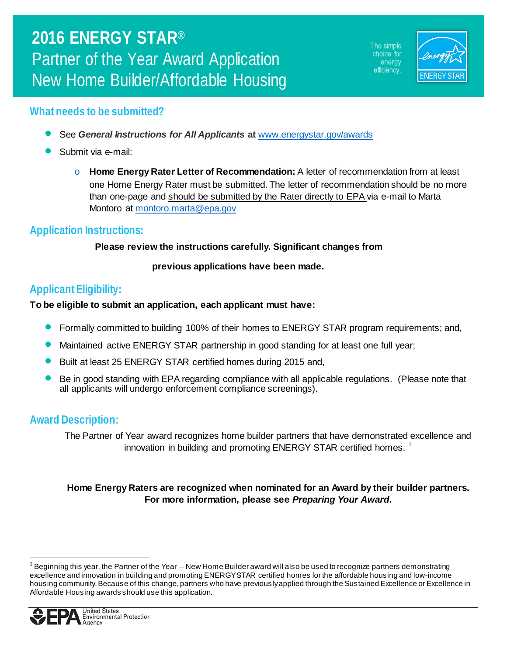The simple choice for energy efficiency.



## **What needs to be submitted?**

- See *General Instructions for All Applicants* **at** [www.energystar.gov/awards](http://www.energystar.gov/awards)
- Submit via e-mail:
	- o **Home Energy Rater Letter of Recommendation:** A letter of recommendation from at least one Home Energy Rater must be submitted. The letter of recommendation should be no more than one-page and should be submitted by the Rater directly to EPA via e-mail to Marta Montoro at [montoro.marta@epa.gov](mailto:montoro.marta@epa.gov)

## **Application Instructions:**

#### **Please review the instructions carefully. Significant changes from**

#### **previous applications have been made.**

## **Applicant Eligibility:**

#### **To be eligible to submit an application, each applicant must have:**

- Formally committed to building 100% of their homes to ENERGY STAR program requirements; and,
- Maintained active ENERGY STAR partnership in good standing for at least one full year;
- Built at least 25 ENERGY STAR certified homes during 2015 and,
- Be in good standing with EPA regarding compliance with all applicable regulations. (Please note that all applicants will undergo enforcement compliance screenings).

## **Award Description:**

The Partner of Year award recognizes home builder partners that have demonstrated excellence and innovation in building and promoting ENERGY STAR certified homes.<sup>[1](#page-0-0)</sup>

#### **Home Energy Raters are recognized when nominated for an Award by their builder partners. For more information, please see** *Preparing Your Award***.**

<span id="page-0-1"></span><span id="page-0-0"></span> $^{\rm 1}$  Beginning this year, the Partner of the Year – New Home Builder award will also be used to recognize partners demonstrating excellence and innovation in building and promoting ENERGY STAR certified homes for the affordable housing and low-income housing community. Because of this change, partners who have previously applied through the Sustained Excellence or Excellence in Affordable Housing awards should use this application.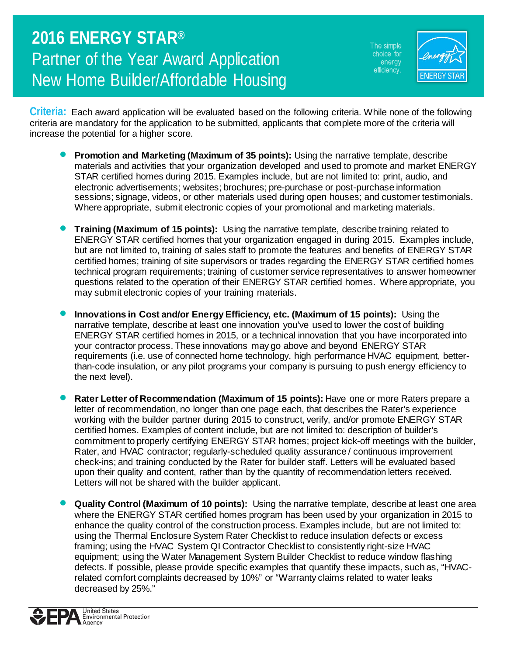The simple choice for energy efficiency.



**Criteria:** Each award application will be evaluated based on the following criteria. While none of the following criteria are mandatory for the application to be submitted, applicants that complete more of the criteria will increase the potential for a higher score.

- **Promotion and Marketing (Maximum of 35 points):** Using the narrative template, describe materials and activities that your organization developed and used to promote and market ENERGY STAR certified homes during 2015. Examples include, but are not limited to: print, audio, and electronic advertisements; websites; brochures; pre-purchase or post-purchase information sessions; signage, videos, or other materials used during open houses; and customer testimonials. Where appropriate, submit electronic copies of your promotional and marketing materials.
- **Training (Maximum of 15 points):** Using the narrative template, describe training related to ENERGY STAR certified homes that your organization engaged in during 2015. Examples include, but are not limited to, training of sales staff to promote the features and benefits of ENERGY STAR certified homes; training of site supervisors or trades regarding the ENERGY STAR certified homes technical program requirements; training of customer service representatives to answer homeowner questions related to the operation of their ENERGY STAR certified homes. Where appropriate, you may submit electronic copies of your training materials.
- **Innovations in Cost and/or Energy Efficiency, etc. (Maximum of 15 points):** Using the narrative template, describe at least one innovation you've used to lower the cost of building ENERGY STAR certified homes in 2015, or a technical innovation that you have incorporated into your contractor process. These innovations may go above and beyond ENERGY STAR requirements (i.e. use of connected home technology, high performance HVAC equipment, betterthan-code insulation, or any pilot programs your company is pursuing to push energy efficiency to the next level).
- **Rater Letter of Recommendation (Maximum of 15 points):** Have one or more Raters prepare a letter of recommendation, no longer than one page each, that describes the Rater's experience working with the builder partner during 2015 to construct, verify, and/or promote ENERGY STAR certified homes. Examples of content include, but are not limited to: description of builder's commitment to properly certifying ENERGY STAR homes; project kick-off meetings with the builder, Rater, and HVAC contractor; regularly-scheduled quality assurance / continuous improvement check-ins; and training conducted by the Rater for builder staff. Letters will be evaluated based upon their quality and content, rather than by the quantity of recommendation letters received. Letters will not be shared with the builder applicant.
- **Quality Control (Maximum of 10 points):** Using the narrative template, describe at least one area where the ENERGY STAR certified homes program has been used by your organization in 2015 to enhance the quality control of the construction process. Examples include, but are not limited to: using the Thermal Enclosure System Rater Checklist to reduce insulation defects or excess framing; using the HVAC System QI Contractor Checklist to consistently right-size HVAC equipment; using the Water Management System Builder Checklist to reduce window flashing defects. If possible, please provide specific examples that quantify these impacts, such as, "HVACrelated comfort complaints decreased by 10%" or "Warranty claims related to water leaks decreased by 25%."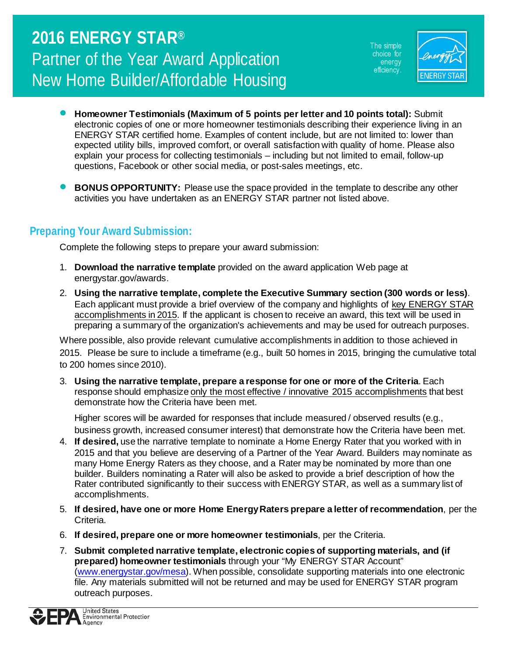The simple choice for energy efficiency.



- **Homeowner Testimonials (Maximum of 5 points per letter and 10 points total):** Submit electronic copies of one or more homeowner testimonials describing their experience living in an ENERGY STAR certified home. Examples of content include, but are not limited to: lower than expected utility bills, improved comfort, or overall satisfaction with quality of home. Please also explain your process for collecting testimonials – including but not limited to email, follow-up questions, Facebook or other social media, or post-sales meetings, etc.
- **BONUS OPPORTUNITY:** Please use the space provided in the template to describe any other activities you have undertaken as an ENERGY STAR partner not listed above.

## **Preparing Your Award Submission:**

Complete the following steps to prepare your award submission:

- 1. **Download the narrative template** provided on the award application Web page at energystar.gov/awards.
- 2. **Using the narrative template, complete the Executive Summary section (300 words or less)**. Each applicant must provide a brief overview of the company and highlights of key ENERGY STAR accomplishments in 2015. If the applicant is chosen to receive an award, this text will be used in preparing a summary of the organization's achievements and may be used for outreach purposes.

Where possible, also provide relevant cumulative accomplishments in addition to those achieved in 2015. Please be sure to include a timeframe (e.g., built 50 homes in 2015, bringing the cumulative total to 200 homes since 2010).

3. **Using the narrative template, prepare a response for one or more of the Criteria**. Each response should emphasize only the most effective / innovative 2015 accomplishments that best demonstrate how the Criteria have been met.

Higher scores will be awarded for responses that include measured / observed results (e.g., business growth, increased consumer interest) that demonstrate how the Criteria have been met.

- 4. **If desired,** use the narrative template to nominate a Home Energy Rater that you worked with in 2015 and that you believe are deserving of a Partner of the Year Award. Builders may nominate as many Home Energy Raters as they choose, and a Rater may be nominated by more than one builder. Builders nominating a Rater will also be asked to provide a brief description of how the Rater contributed significantly to their success with ENERGY STAR, as well as a summary list of accomplishments.
- 5. **If desired, have one or more Home Energy Raters prepare a letter of recommendation**, per the Criteria.
- 6. **If desired, prepare one or more homeowner testimonials**, per the Criteria.
- 7. **Submit completed narrative template, electronic copies of supporting materials, and (if prepared) homeowner testimonials** through your "My ENERGY STAR Account" (www.energystar.gov/mesa). When possible, consolidate supporting materials into one electronic file. Any materials submitted will not be returned and may be used for ENERGY STAR program outreach purposes.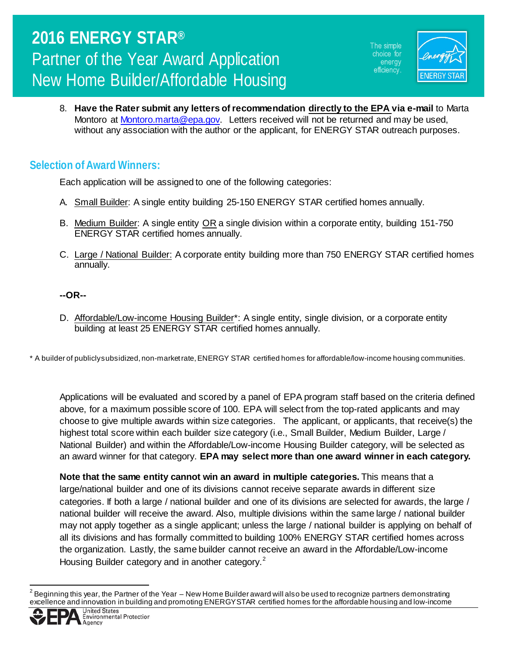The simple choice for energy efficiency.



8. **Have the Rater submit any letters of recommendation directly to the EPA via e-mail** to Marta Montoro at [Montoro.marta@epa.gov.](mailto:Montoro.marta@epa.gov) Letters received will not be returned and may be used. without any association with the author or the applicant, for ENERGY STAR outreach purposes.

## **Selection of Award Winners:**

Each application will be assigned to one of the following categories:

- A. Small Builder: A single entity building 25-150 ENERGY STAR certified homes annually.
- B. Medium Builder: A single entity OR a single division within a corporate entity, building 151-750 ENERGY STAR certified homes annually.
- C. Large / National Builder: A corporate entity building more than 750 ENERGY STAR certified homes annually.

#### **--OR--**

D. Affordable/Low-income Housing Builder\*: A single entity, single division, or a corporate entity building at least 25 ENERGY STAR certified homes annually.

\* A builder of publicly subsidized, non-market rate, ENERGY STAR certified homes for affordable/low-income housing communities.

Applications will be evaluated and scored by a panel of EPA program staff based on the criteria defined above, for a maximum possible score of 100. EPA will select from the top-rated applicants and may choose to give multiple awards within size categories. The applicant, or applicants, that receive(s) the highest total score within each builder size category (i.e., Small Builder, Medium Builder, Large / National Builder) and within the Affordable/Low-income Housing Builder category, will be selected as an award winner for that category. **EPA may select more than one award winner in each category.** 

**Note that the same entity cannot win an award in multiple categories.** This means that a large/national builder and one of its divisions cannot receive separate awards in different size categories. If both a large / national builder and one of its divisions are selected for awards, the large / national builder will receive the award. Also, multiple divisions within the same large / national builder may not apply together as a single applicant; unless the large / national builder is applying on behalf of all its divisions and has formally committed to building 100% ENERGY STAR certified homes across the organization. Lastly, the same builder cannot receive an award in the Affordable/Low-income Housing Builder category and in another category.<sup>[2](#page-0-1)</sup>

<span id="page-3-0"></span> $^2$  Beginning this year, the Partner of the Year – New Home Builder award will also be used to recognize partners demonstrating excellence and innovation in building and promoting ENERGY STAR certified homes for the affordable housing and low-income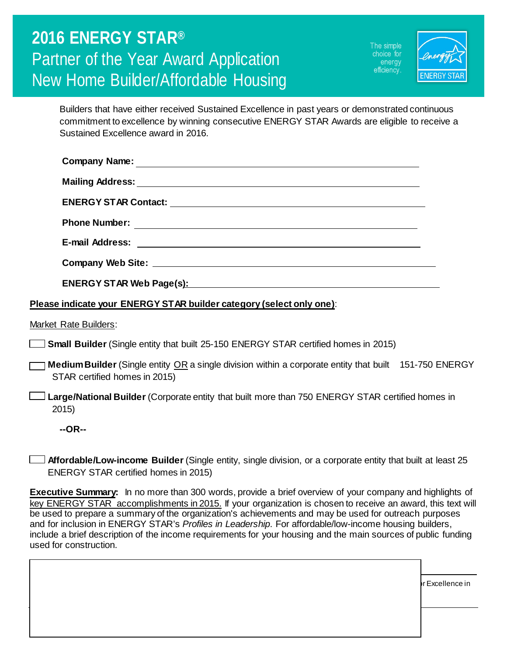The simple choice for energy efficiency.



Builders that have either received Sustained Excellence in past years or demonstrated continuous commitment to excellence by winning consecutive ENERGY STAR Awards are eligible to receive a Sustained Excellence award in 2016.

| <b>Phone Number:</b>                                                                                                                                                                                                           |
|--------------------------------------------------------------------------------------------------------------------------------------------------------------------------------------------------------------------------------|
|                                                                                                                                                                                                                                |
|                                                                                                                                                                                                                                |
| ENERGY STAR Web Page(s): Manual Contract Contract Contract Contract Contract Contract Contract Contract Contract Contract Contract Contract Contract Contract Contract Contract Contract Contract Contract Contract Contract C |

#### **Please indicate your ENERGY STAR builder category (select only one)**:

Market Rate Builders:

- **Small Builder** (Single entity that built 25-150 ENERGY STAR certified homes in 2015)
- **Medium Builder** (Single entity OR a single division within a corporate entity that built 151-750 ENERGY STAR certified homes in 2015)
- **Large/National Builder** (Corporate entity that built more than 750 ENERGY STAR certified homes in 2015)

**--OR--**

Affordable Housing awards should use this application.

**Affordable/Low-income Builder** (Single entity, single division, or a corporate entity that built at least 25 ENERGY STAR certified homes in 2015)

**Executive Summary:** In no more than 300 words, provide a brief overview of your company and highlights of key ENERGY STAR accomplishments in 2015. If your organization is chosen to receive an award, this text will be used to prepare a summary of the organization's achievements and may be used for outreach purposes and for inclusion in ENERGY STAR's *Profiles in Leadership*. For affordable/low-income housing builders, include a brief description of the income requirements for your housing and the main sources of public funding used for construction.

housing community. Because of this change, partners who have previously applied through the Sustained Excellence in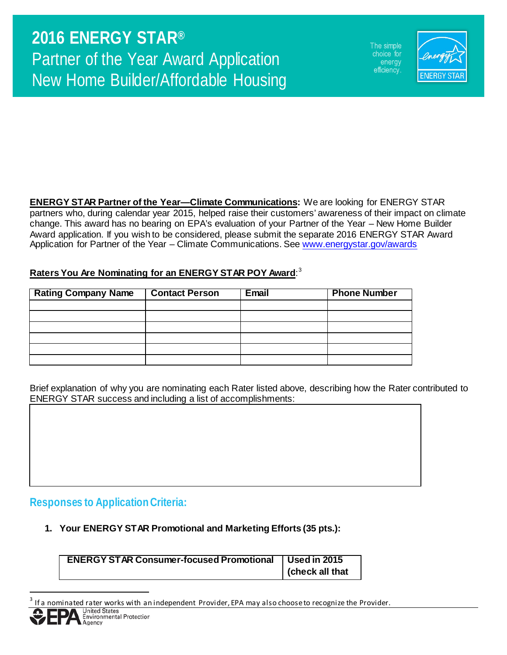The simple choice for energy efficiency.



**ENERGY STAR Partner of the Year—Climate Communications:** We are looking for ENERGY STAR partners who, during calendar year 2015, helped raise their customers' awareness of their impact on climate change. This award has no bearing on EPA's evaluation of your Partner of the Year – New Home Builder Award application. If you wish to be considered, please submit the separate 2016 ENERGY STAR Award Application for Partner of the Year – Climate Communications. See [www.energystar.gov/awards](http://www.energystar.gov/awards)

#### **Raters You Are Nominating for an ENERGY STAR POY Award**: [3](#page-3-0)

| <b>Rating Company Name</b> | <b>Contact Person</b> | Email | <b>Phone Number</b> |
|----------------------------|-----------------------|-------|---------------------|
|                            |                       |       |                     |
|                            |                       |       |                     |
|                            |                       |       |                     |
|                            |                       |       |                     |
|                            |                       |       |                     |
|                            |                       |       |                     |

Brief explanation of why you are nominating each Rater listed above, describing how the Rater contributed to ENERGY STAR success and including a list of accomplishments:

#### **Responses to Application Criteria:**

**1. Your ENERGY STAR Promotional and Marketing Efforts (35 pts.):**

| <b>ENERGY STAR Consumer-focused Promotional   Used in 2015</b> |                |
|----------------------------------------------------------------|----------------|
|                                                                | check all that |

If a nominated rater works with an independent Provider, EPA may also choose to recognize the Provider.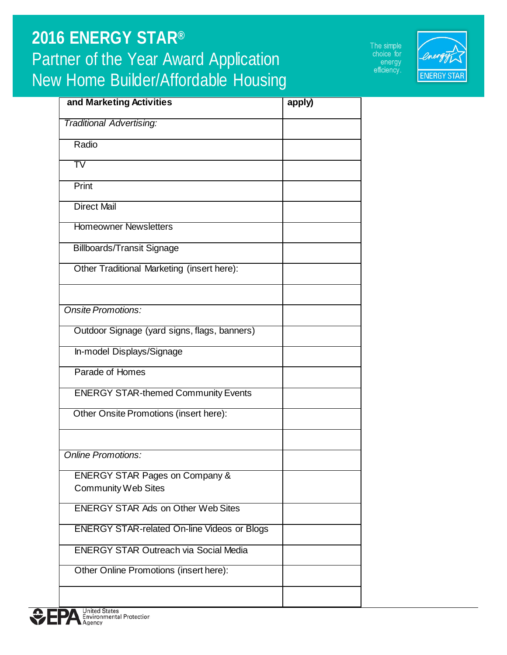The simple<br>choice for energy<br>efficiency.



| and Marketing Activities                           | apply) |
|----------------------------------------------------|--------|
| <b>Traditional Advertising:</b>                    |        |
| Radio                                              |        |
| $\overline{\operatorname{TV}}$                     |        |
| Print                                              |        |
| <b>Direct Mail</b>                                 |        |
| <b>Homeowner Newsletters</b>                       |        |
| <b>Billboards/Transit Signage</b>                  |        |
| Other Traditional Marketing (insert here):         |        |
|                                                    |        |
| Onsite Promotions:                                 |        |
| Outdoor Signage (yard signs, flags, banners)       |        |
| In-model Displays/Signage                          |        |
| Parade of Homes                                    |        |
| <b>ENERGY STAR-themed Community Events</b>         |        |
| Other Onsite Promotions (insert here):             |        |
|                                                    |        |
| <b>Online Promotions:</b>                          |        |
| <b>ENERGY STAR Pages on Company &amp;</b>          |        |
| <b>Community Web Sites</b>                         |        |
| <b>ENERGY STAR Ads on Other Web Sites</b>          |        |
| <b>ENERGY STAR-related On-line Videos or Blogs</b> |        |
| <b>ENERGY STAR Outreach via Social Media</b>       |        |
| Other Online Promotions (insert here):             |        |
|                                                    |        |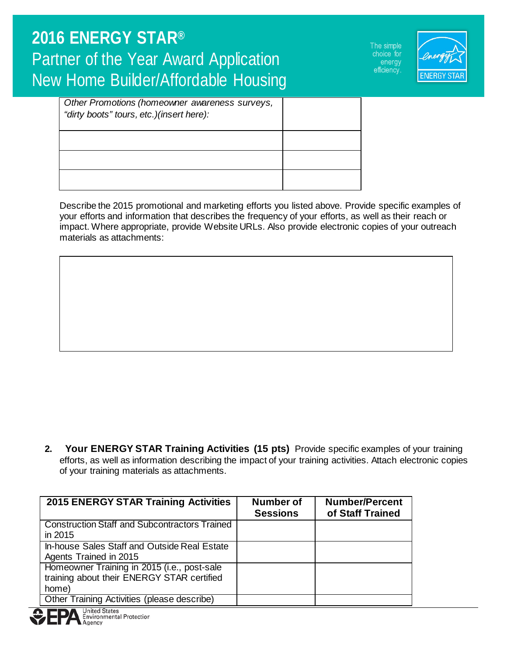The simple choice for energy efficiency.



| Other Promotions (homeowner awareness surveys,<br>"dirty boots" tours, etc.)(insert here): |  |
|--------------------------------------------------------------------------------------------|--|
|                                                                                            |  |
|                                                                                            |  |
|                                                                                            |  |

Describe the 2015 promotional and marketing efforts you listed above. Provide specific examples of your efforts and information that describes the frequency of your efforts, as well as their reach or impact. Where appropriate, provide Website URLs. Also provide electronic copies of your outreach materials as attachments:

**2. Your ENERGY STAR Training Activities (15 pts)** Provide specific examples of your training efforts, as well as information describing the impact of your training activities. Attach electronic copies of your training materials as attachments.

| <b>2015 ENERGY STAR Training Activities</b>          | Number of<br><b>Sessions</b> | <b>Number/Percent</b><br>of Staff Trained |
|------------------------------------------------------|------------------------------|-------------------------------------------|
| <b>Construction Staff and Subcontractors Trained</b> |                              |                                           |
| in 2015                                              |                              |                                           |
| In-house Sales Staff and Outside Real Estate         |                              |                                           |
| Agents Trained in 2015                               |                              |                                           |
| Homeowner Training in 2015 (i.e., post-sale          |                              |                                           |
| training about their ENERGY STAR certified           |                              |                                           |
| home)                                                |                              |                                           |
| Other Training Activities (please describe)          |                              |                                           |

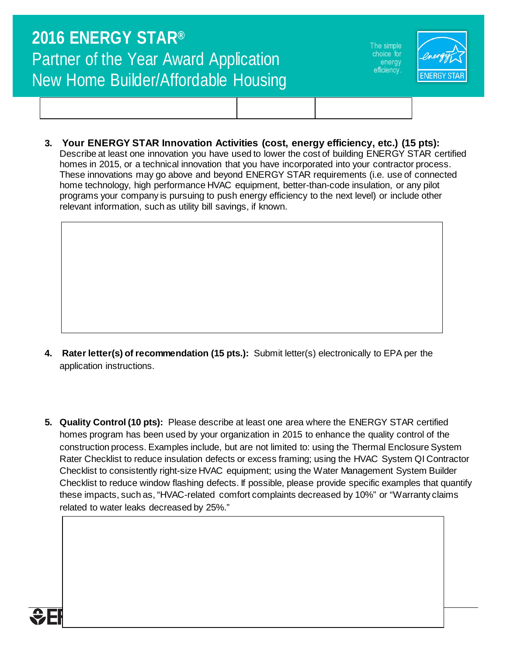The simple choice for energy efficiency.



**3. Your ENERGY STAR Innovation Activities (cost, energy efficiency, etc.) (15 pts):** 

Describe at least one innovation you have used to lower the cost of building ENERGY STAR certified homes in 2015, or a technical innovation that you have incorporated into your contractor process. These innovations may go above and beyond ENERGY STAR requirements (i.e. use of connected home technology, high performance HVAC equipment, better-than-code insulation, or any pilot programs your company is pursuing to push energy efficiency to the next level) or include other relevant information, such as utility bill savings, if known.

- **4. Rater letter(s) of recommendation (15 pts.):** Submit letter(s) electronically to EPA per the application instructions.
- **5. Quality Control (10 pts):** Please describe at least one area where the ENERGY STAR certified homes program has been used by your organization in 2015 to enhance the quality control of the construction process. Examples include, but are not limited to: using the Thermal Enclosure System Rater Checklist to reduce insulation defects or excess framing; using the HVAC System QI Contractor Checklist to consistently right-size HVAC equipment; using the Water Management System Builder Checklist to reduce window flashing defects. If possible, please provide specific examples that quantify these impacts, such as, "HVAC-related comfort complaints decreased by 10%" or "Warranty claims related to water leaks decreased by 25%."